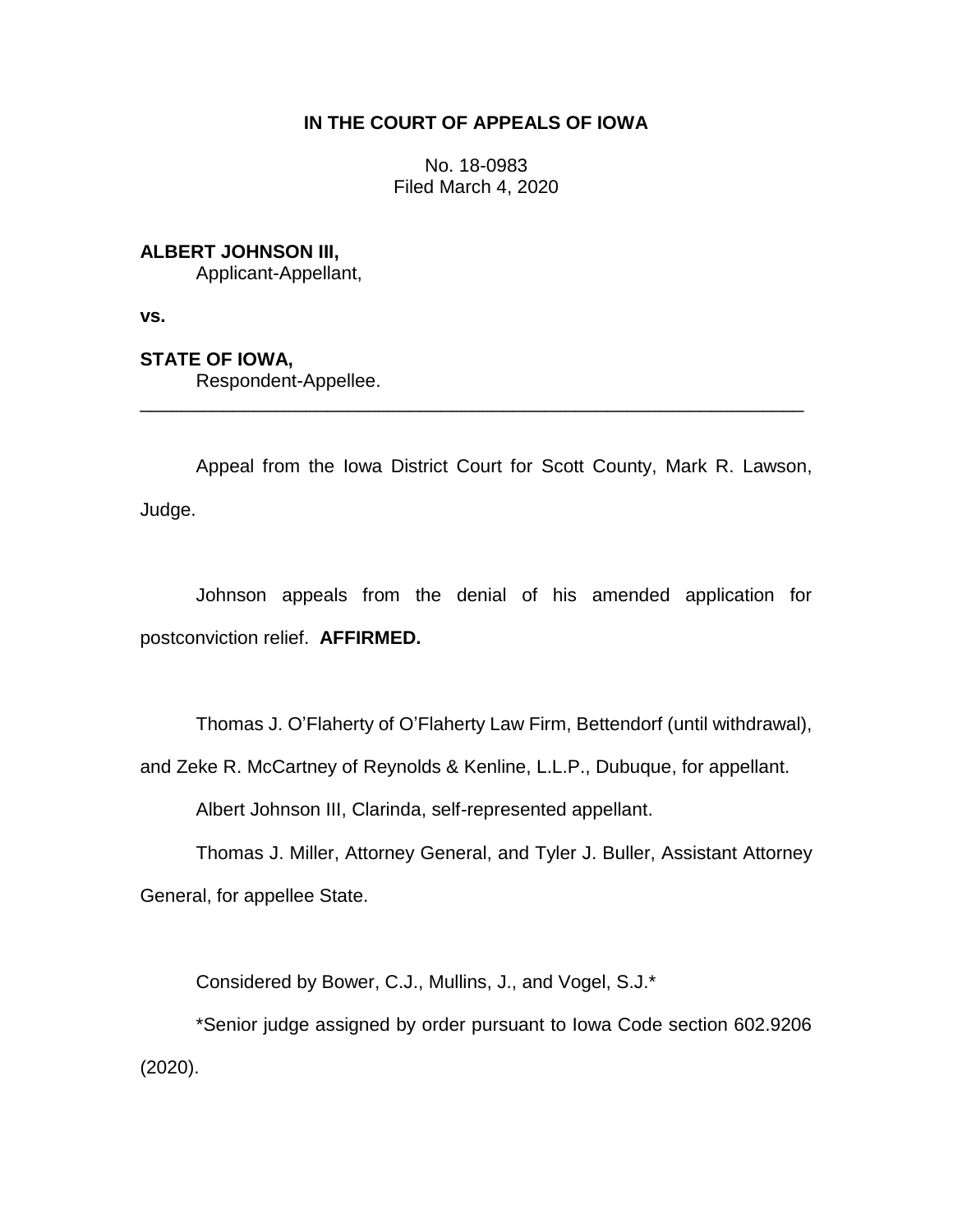# **IN THE COURT OF APPEALS OF IOWA**

No. 18-0983 Filed March 4, 2020

## **ALBERT JOHNSON III,**

Applicant-Appellant,

**vs.**

# **STATE OF IOWA,**

Respondent-Appellee.

Appeal from the Iowa District Court for Scott County, Mark R. Lawson, Judge.

\_\_\_\_\_\_\_\_\_\_\_\_\_\_\_\_\_\_\_\_\_\_\_\_\_\_\_\_\_\_\_\_\_\_\_\_\_\_\_\_\_\_\_\_\_\_\_\_\_\_\_\_\_\_\_\_\_\_\_\_\_\_\_\_

Johnson appeals from the denial of his amended application for postconviction relief. **AFFIRMED.**

Thomas J. O'Flaherty of O'Flaherty Law Firm, Bettendorf (until withdrawal),

and Zeke R. McCartney of Reynolds & Kenline, L.L.P., Dubuque, for appellant.

Albert Johnson III, Clarinda, self-represented appellant.

Thomas J. Miller, Attorney General, and Tyler J. Buller, Assistant Attorney General, for appellee State.

Considered by Bower, C.J., Mullins, J., and Vogel, S.J.\*

\*Senior judge assigned by order pursuant to Iowa Code section 602.9206 (2020).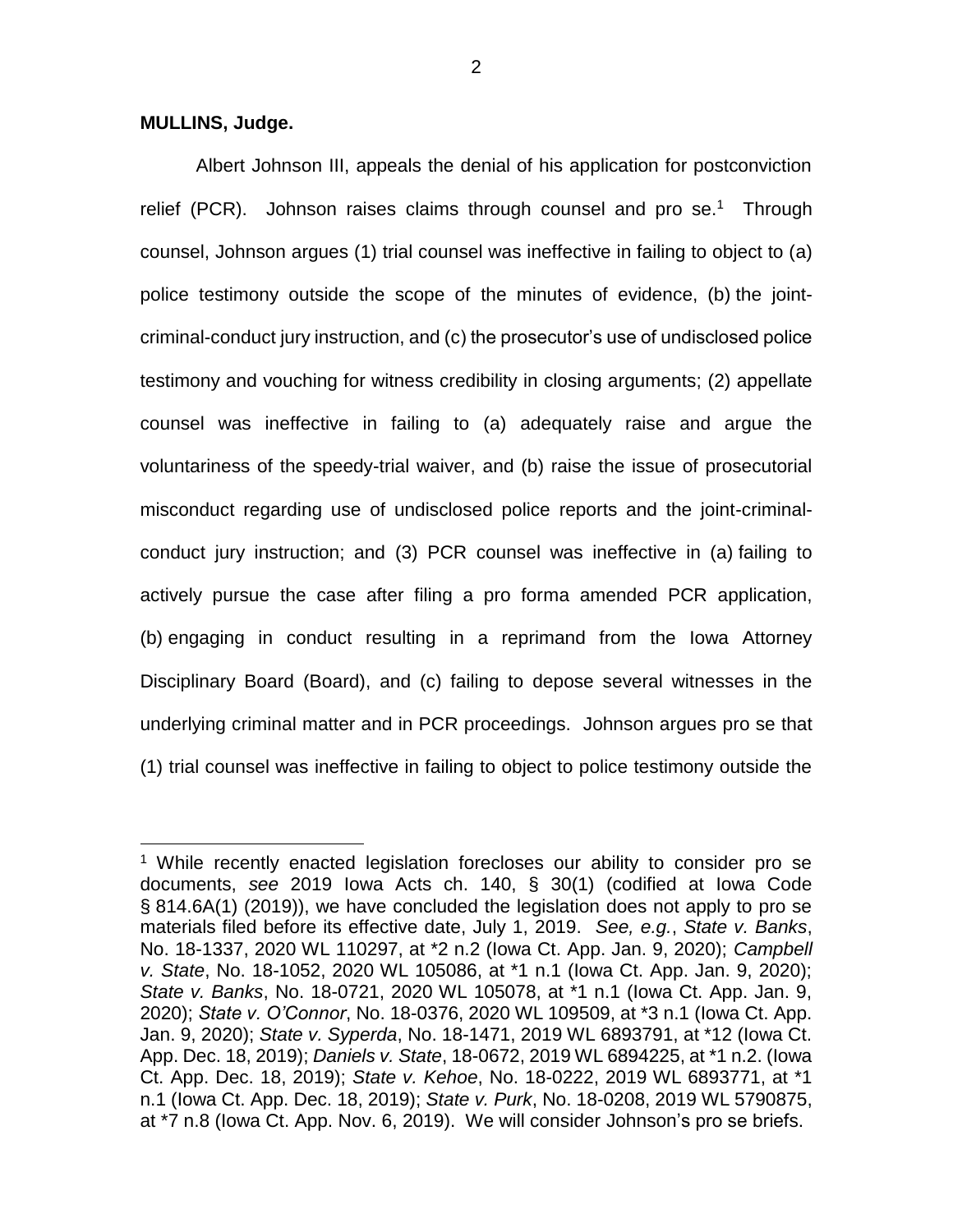### **MULLINS, Judge.**

 $\overline{a}$ 

Albert Johnson III, appeals the denial of his application for postconviction relief (PCR). Johnson raises claims through counsel and pro se.<sup>1</sup> Through counsel, Johnson argues (1) trial counsel was ineffective in failing to object to (a) police testimony outside the scope of the minutes of evidence, (b) the jointcriminal-conduct jury instruction, and (c) the prosecutor's use of undisclosed police testimony and vouching for witness credibility in closing arguments; (2) appellate counsel was ineffective in failing to (a) adequately raise and argue the voluntariness of the speedy-trial waiver, and (b) raise the issue of prosecutorial misconduct regarding use of undisclosed police reports and the joint-criminalconduct jury instruction; and (3) PCR counsel was ineffective in (a) failing to actively pursue the case after filing a pro forma amended PCR application, (b) engaging in conduct resulting in a reprimand from the Iowa Attorney Disciplinary Board (Board), and (c) failing to depose several witnesses in the underlying criminal matter and in PCR proceedings. Johnson argues pro se that (1) trial counsel was ineffective in failing to object to police testimony outside the

<sup>&</sup>lt;sup>1</sup> While recently enacted legislation forecloses our ability to consider pro se documents, *see* 2019 Iowa Acts ch. 140, § 30(1) (codified at Iowa Code § 814.6A(1) (2019)), we have concluded the legislation does not apply to pro se materials filed before its effective date, July 1, 2019. *See, e.g.*, *State v. Banks*, No. 18-1337, 2020 WL 110297, at \*2 n.2 (Iowa Ct. App. Jan. 9, 2020); *Campbell v. State*, No. 18-1052, 2020 WL 105086, at \*1 n.1 (Iowa Ct. App. Jan. 9, 2020); *State v. Banks*, No. 18-0721, 2020 WL 105078, at \*1 n.1 (Iowa Ct. App. Jan. 9, 2020); *State v. O'Connor*, No. 18-0376, 2020 WL 109509, at \*3 n.1 (Iowa Ct. App. Jan. 9, 2020); *State v. Syperda*, No. 18-1471, 2019 WL 6893791, at \*12 (Iowa Ct. App. Dec. 18, 2019); *Daniels v. State*, 18-0672, 2019 WL 6894225, at \*1 n.2. (Iowa Ct. App. Dec. 18, 2019); *State v. Kehoe*, No. 18-0222, 2019 WL 6893771, at \*1 n.1 (Iowa Ct. App. Dec. 18, 2019); *State v. Purk*, No. 18-0208, 2019 WL 5790875, at \*7 n.8 (Iowa Ct. App. Nov. 6, 2019). We will consider Johnson's pro se briefs.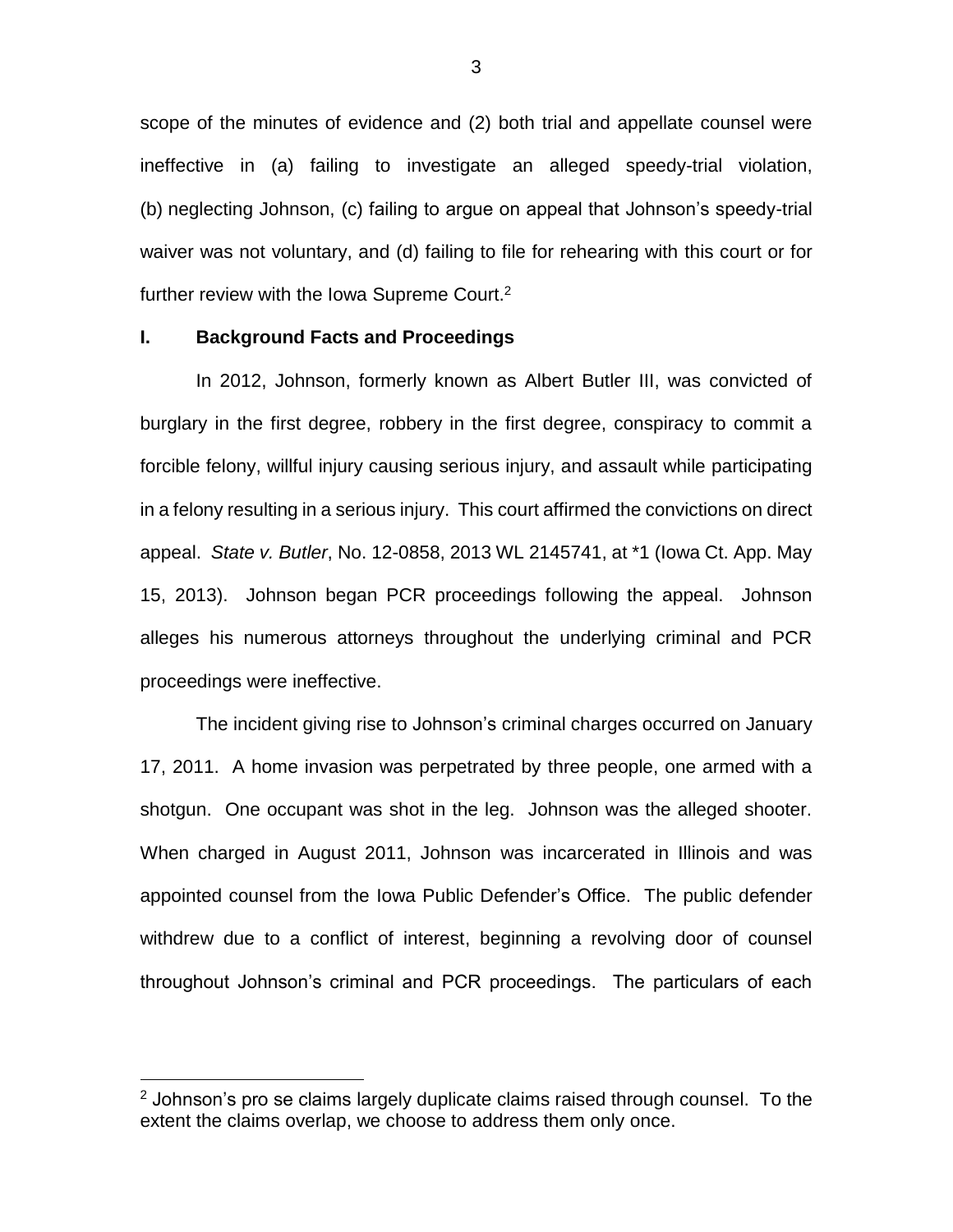scope of the minutes of evidence and (2) both trial and appellate counsel were ineffective in (a) failing to investigate an alleged speedy-trial violation, (b) neglecting Johnson, (c) failing to argue on appeal that Johnson's speedy-trial waiver was not voluntary, and (d) failing to file for rehearing with this court or for further review with the Iowa Supreme Court.<sup>2</sup>

## **I. Background Facts and Proceedings**

 $\overline{a}$ 

In 2012, Johnson, formerly known as Albert Butler III, was convicted of burglary in the first degree, robbery in the first degree, conspiracy to commit a forcible felony, willful injury causing serious injury, and assault while participating in a felony resulting in a serious injury. This court affirmed the convictions on direct appeal. *State v. Butler*, No. 12-0858, 2013 WL 2145741, at \*1 (Iowa Ct. App. May 15, 2013). Johnson began PCR proceedings following the appeal. Johnson alleges his numerous attorneys throughout the underlying criminal and PCR proceedings were ineffective.

The incident giving rise to Johnson's criminal charges occurred on January 17, 2011. A home invasion was perpetrated by three people, one armed with a shotgun. One occupant was shot in the leg. Johnson was the alleged shooter. When charged in August 2011, Johnson was incarcerated in Illinois and was appointed counsel from the Iowa Public Defender's Office. The public defender withdrew due to a conflict of interest, beginning a revolving door of counsel throughout Johnson's criminal and PCR proceedings. The particulars of each

 $2$  Johnson's pro se claims largely duplicate claims raised through counsel. To the extent the claims overlap, we choose to address them only once.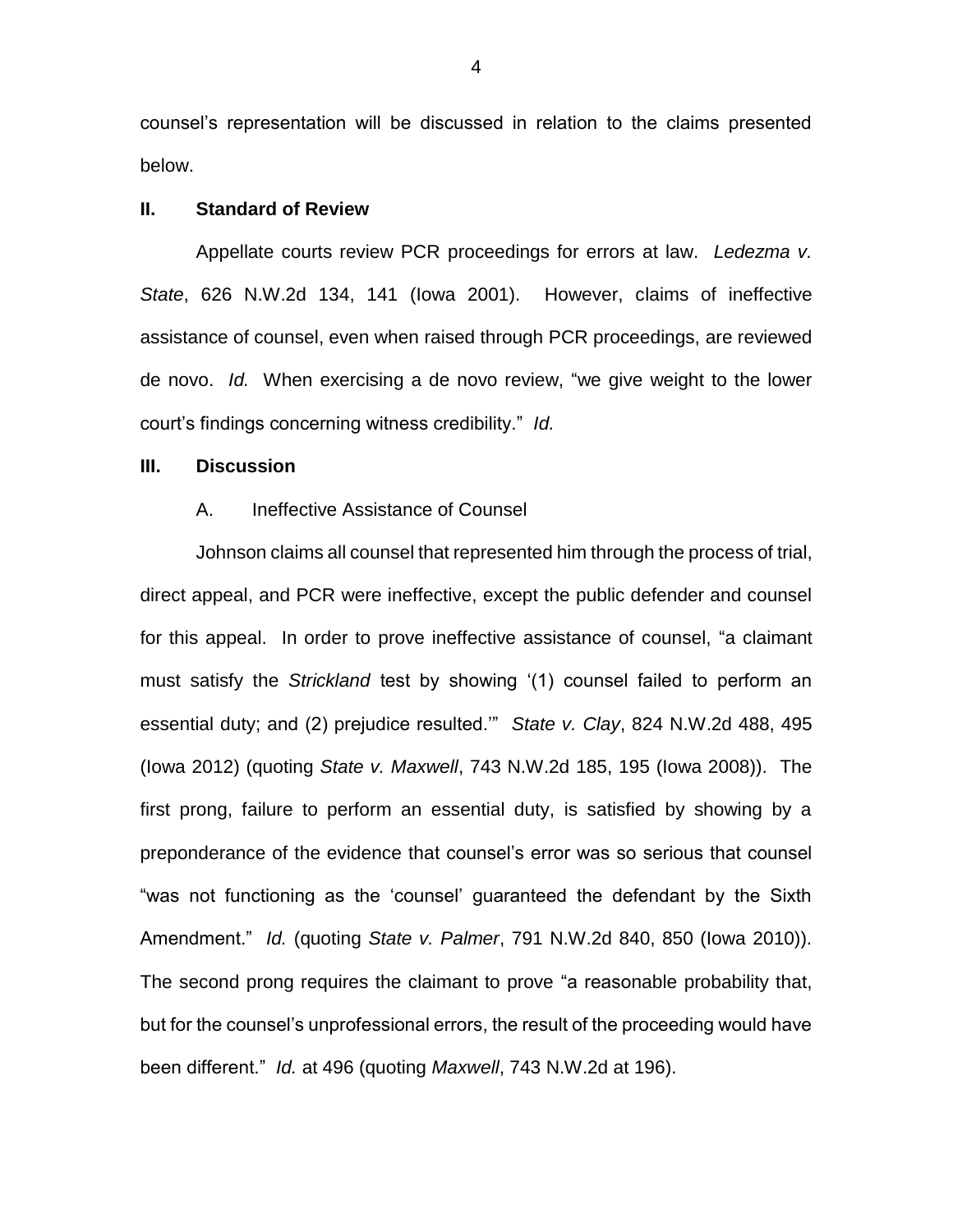counsel's representation will be discussed in relation to the claims presented below.

### **II. Standard of Review**

Appellate courts review PCR proceedings for errors at law. *Ledezma v. State*, 626 N.W.2d 134, 141 (Iowa 2001). However, claims of ineffective assistance of counsel, even when raised through PCR proceedings, are reviewed de novo. *Id.* When exercising a de novo review, "we give weight to the lower court's findings concerning witness credibility." *Id.*

## **III. Discussion**

#### A. Ineffective Assistance of Counsel

Johnson claims all counsel that represented him through the process of trial, direct appeal, and PCR were ineffective, except the public defender and counsel for this appeal. In order to prove ineffective assistance of counsel, "a claimant must satisfy the *Strickland* test by showing '(1) counsel failed to perform an essential duty; and (2) prejudice resulted.'" *State v. Clay*, 824 N.W.2d 488, 495 (Iowa 2012) (quoting *State v. Maxwell*, 743 N.W.2d 185, 195 (Iowa 2008)). The first prong, failure to perform an essential duty, is satisfied by showing by a preponderance of the evidence that counsel's error was so serious that counsel "was not functioning as the 'counsel' guaranteed the defendant by the Sixth Amendment." *Id.* (quoting *State v. Palmer*, 791 N.W.2d 840, 850 (Iowa 2010)). The second prong requires the claimant to prove "a reasonable probability that, but for the counsel's unprofessional errors, the result of the proceeding would have been different." *Id.* at 496 (quoting *Maxwell*, 743 N.W.2d at 196).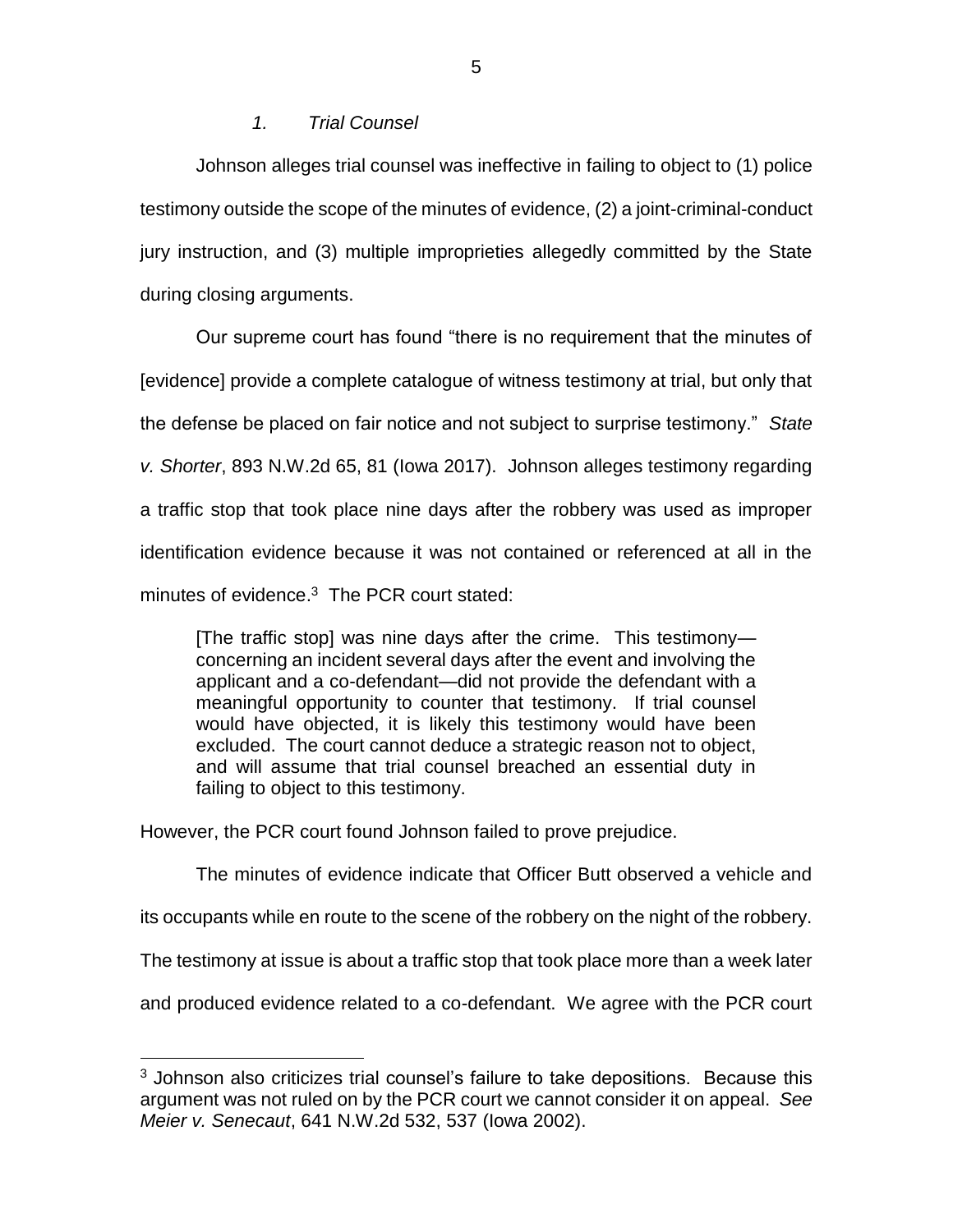## *1. Trial Counsel*

Johnson alleges trial counsel was ineffective in failing to object to (1) police testimony outside the scope of the minutes of evidence, (2) a joint-criminal-conduct jury instruction, and (3) multiple improprieties allegedly committed by the State during closing arguments.

Our supreme court has found "there is no requirement that the minutes of [evidence] provide a complete catalogue of witness testimony at trial, but only that the defense be placed on fair notice and not subject to surprise testimony." *State v. Shorter*, 893 N.W.2d 65, 81 (Iowa 2017). Johnson alleges testimony regarding a traffic stop that took place nine days after the robbery was used as improper identification evidence because it was not contained or referenced at all in the minutes of evidence. 3 The PCR court stated:

[The traffic stop] was nine days after the crime. This testimony concerning an incident several days after the event and involving the applicant and a co-defendant—did not provide the defendant with a meaningful opportunity to counter that testimony. If trial counsel would have objected, it is likely this testimony would have been excluded. The court cannot deduce a strategic reason not to object, and will assume that trial counsel breached an essential duty in failing to object to this testimony.

However, the PCR court found Johnson failed to prove prejudice.

 $\overline{a}$ 

The minutes of evidence indicate that Officer Butt observed a vehicle and

its occupants while en route to the scene of the robbery on the night of the robbery.

The testimony at issue is about a traffic stop that took place more than a week later

and produced evidence related to a co-defendant. We agree with the PCR court

<sup>&</sup>lt;sup>3</sup> Johnson also criticizes trial counsel's failure to take depositions. Because this argument was not ruled on by the PCR court we cannot consider it on appeal. *See Meier v. Senecaut*, 641 N.W.2d 532, 537 (Iowa 2002).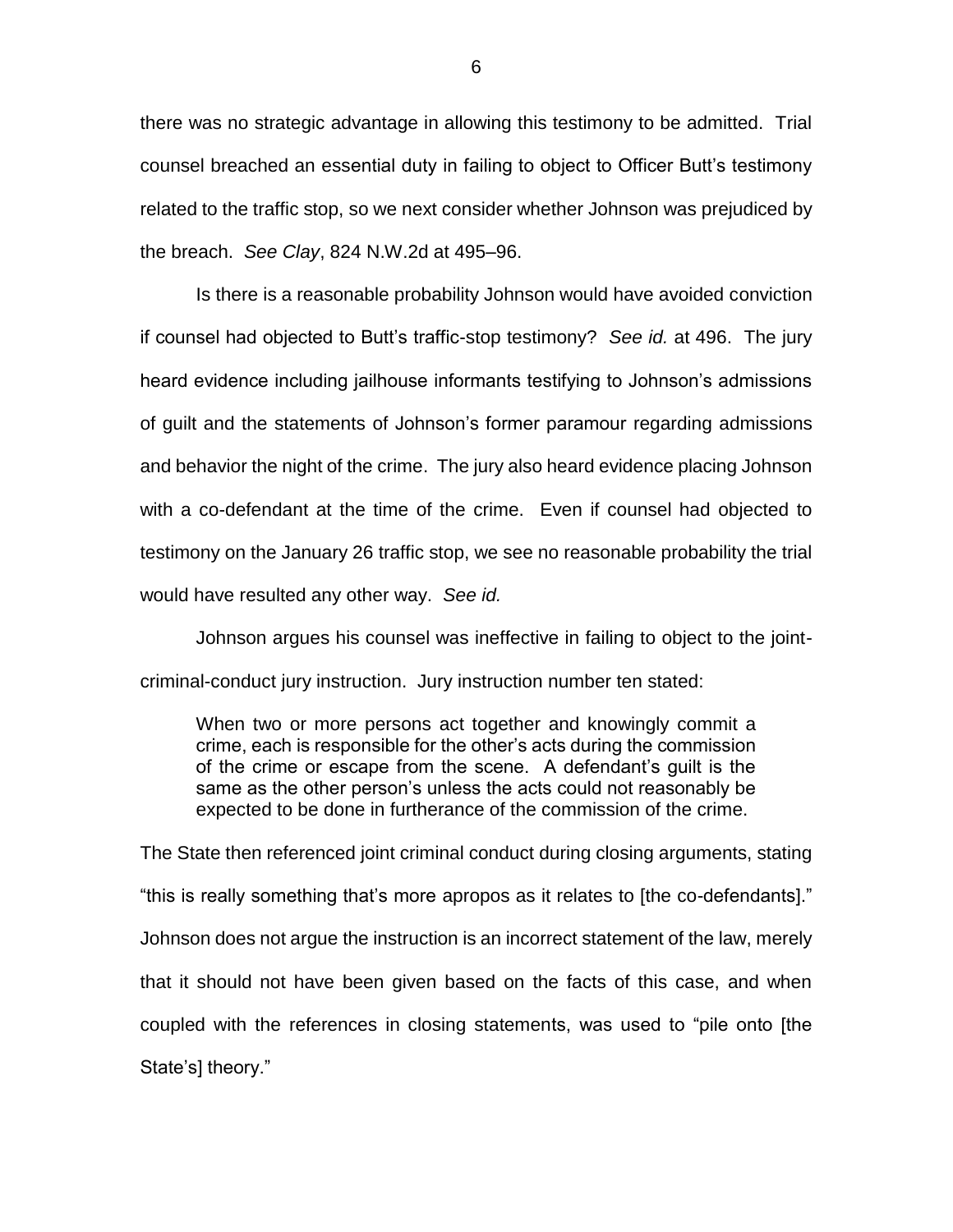there was no strategic advantage in allowing this testimony to be admitted. Trial counsel breached an essential duty in failing to object to Officer Butt's testimony related to the traffic stop, so we next consider whether Johnson was prejudiced by the breach. *See Clay*, 824 N.W.2d at 495–96.

Is there is a reasonable probability Johnson would have avoided conviction if counsel had objected to Butt's traffic-stop testimony? *See id.* at 496. The jury heard evidence including jailhouse informants testifying to Johnson's admissions of guilt and the statements of Johnson's former paramour regarding admissions and behavior the night of the crime. The jury also heard evidence placing Johnson with a co-defendant at the time of the crime. Even if counsel had objected to testimony on the January 26 traffic stop, we see no reasonable probability the trial would have resulted any other way. *See id.* 

Johnson argues his counsel was ineffective in failing to object to the jointcriminal-conduct jury instruction. Jury instruction number ten stated:

When two or more persons act together and knowingly commit a crime, each is responsible for the other's acts during the commission of the crime or escape from the scene. A defendant's guilt is the same as the other person's unless the acts could not reasonably be expected to be done in furtherance of the commission of the crime.

The State then referenced joint criminal conduct during closing arguments, stating "this is really something that's more apropos as it relates to [the co-defendants]." Johnson does not argue the instruction is an incorrect statement of the law, merely that it should not have been given based on the facts of this case, and when coupled with the references in closing statements, was used to "pile onto [the State's] theory."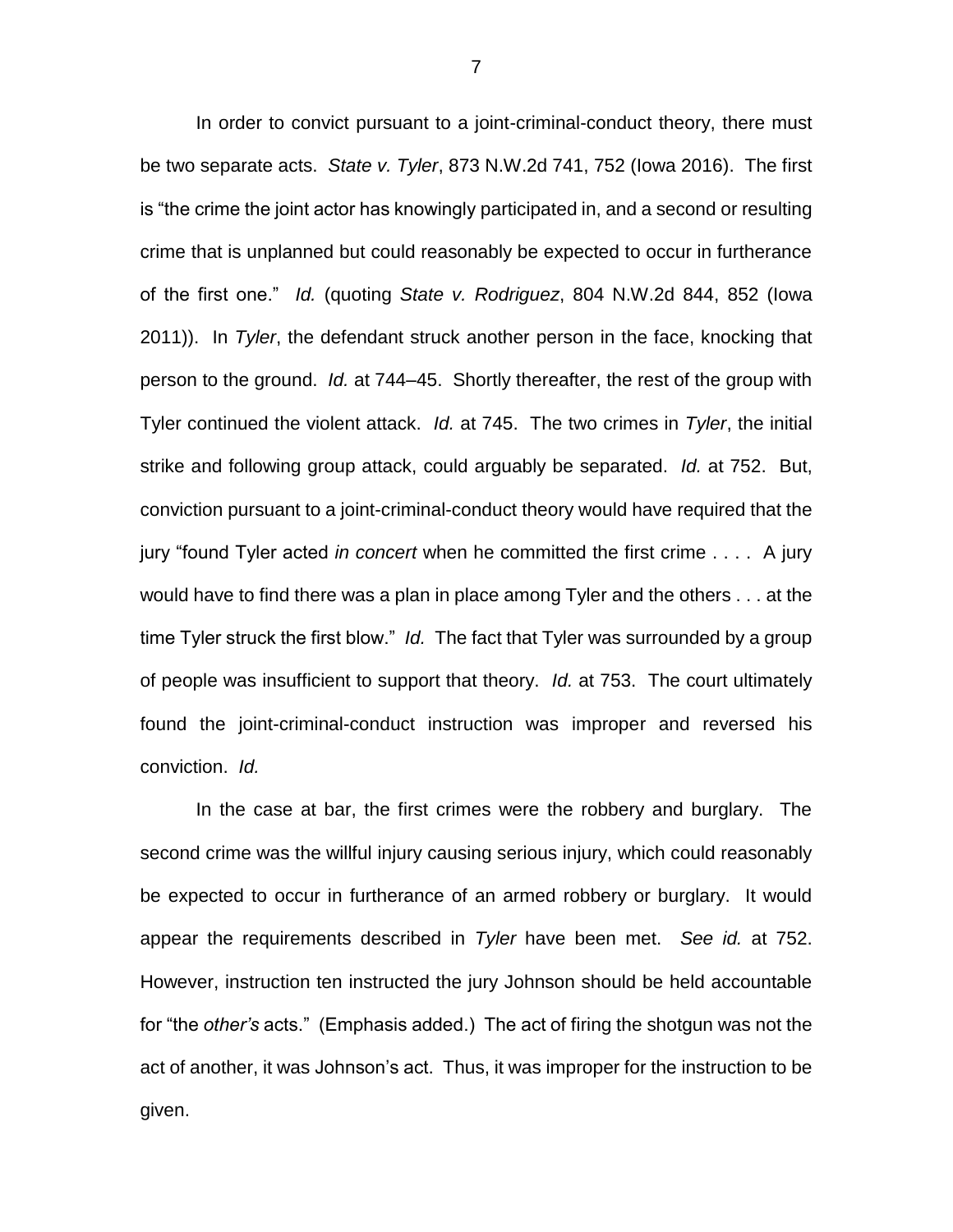In order to convict pursuant to a joint-criminal-conduct theory, there must be two separate acts. *State v. Tyler*, 873 N.W.2d 741, 752 (Iowa 2016). The first is "the crime the joint actor has knowingly participated in, and a second or resulting crime that is unplanned but could reasonably be expected to occur in furtherance of the first one." *Id.* (quoting *State v. Rodriguez*, 804 N.W.2d 844, 852 (Iowa 2011)). In *Tyler*, the defendant struck another person in the face, knocking that person to the ground. *Id.* at 744–45. Shortly thereafter, the rest of the group with Tyler continued the violent attack. *Id.* at 745. The two crimes in *Tyler*, the initial strike and following group attack, could arguably be separated. *Id.* at 752. But, conviction pursuant to a joint-criminal-conduct theory would have required that the jury "found Tyler acted *in concert* when he committed the first crime . . . . A jury would have to find there was a plan in place among Tyler and the others . . . at the time Tyler struck the first blow." *Id.* The fact that Tyler was surrounded by a group of people was insufficient to support that theory. *Id.* at 753. The court ultimately found the joint-criminal-conduct instruction was improper and reversed his conviction. *Id.*

In the case at bar, the first crimes were the robbery and burglary. The second crime was the willful injury causing serious injury, which could reasonably be expected to occur in furtherance of an armed robbery or burglary. It would appear the requirements described in *Tyler* have been met. *See id.* at 752. However, instruction ten instructed the jury Johnson should be held accountable for "the *other's* acts." (Emphasis added.) The act of firing the shotgun was not the act of another, it was Johnson's act. Thus, it was improper for the instruction to be given.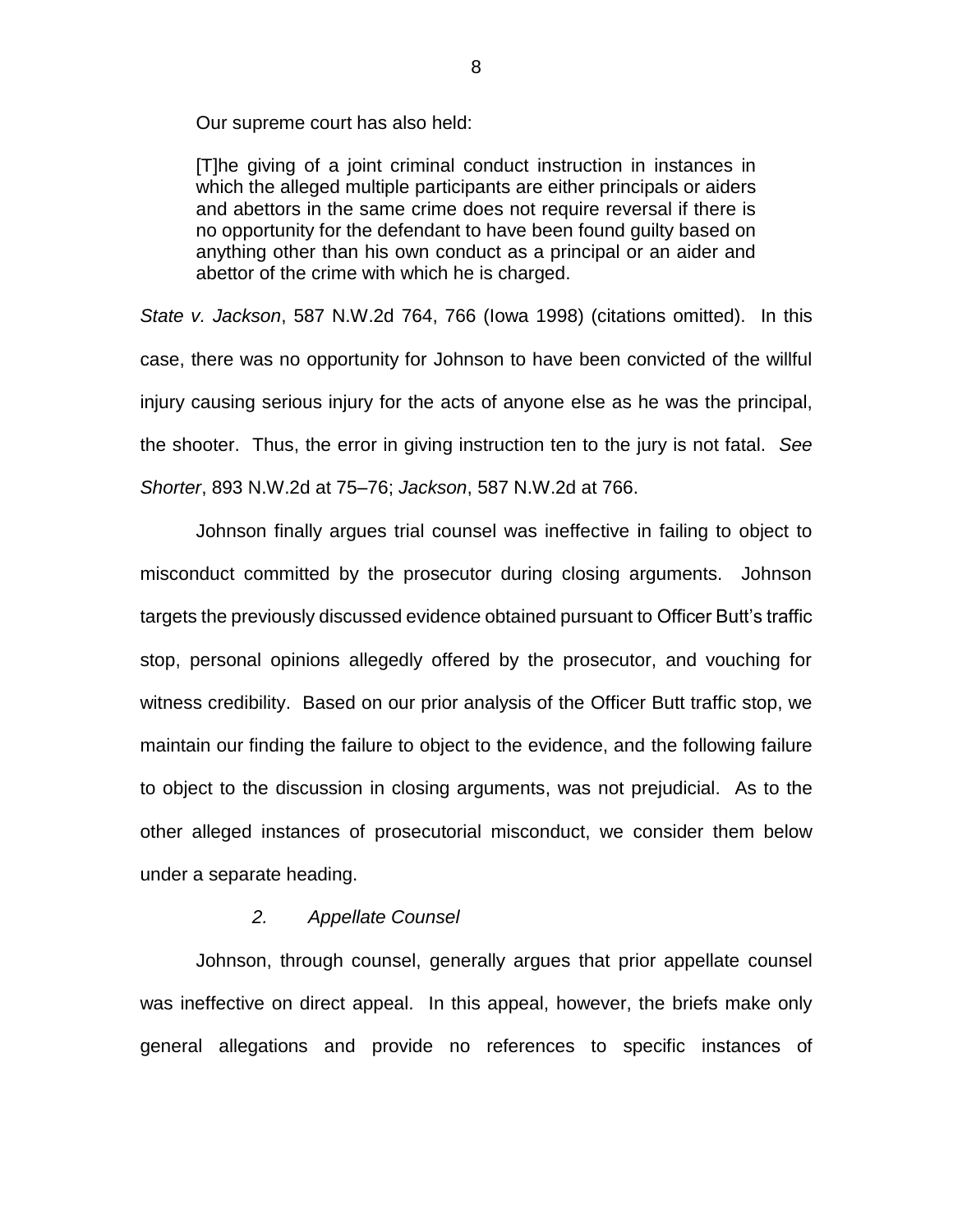Our supreme court has also held:

[T]he giving of a joint criminal conduct instruction in instances in which the alleged multiple participants are either principals or aiders and abettors in the same crime does not require reversal if there is no opportunity for the defendant to have been found guilty based on anything other than his own conduct as a principal or an aider and abettor of the crime with which he is charged.

*State v. Jackson*, 587 N.W.2d 764, 766 (Iowa 1998) (citations omitted). In this case, there was no opportunity for Johnson to have been convicted of the willful injury causing serious injury for the acts of anyone else as he was the principal, the shooter. Thus, the error in giving instruction ten to the jury is not fatal. *See Shorter*, 893 N.W.2d at 75–76; *Jackson*, 587 N.W.2d at 766.

Johnson finally argues trial counsel was ineffective in failing to object to misconduct committed by the prosecutor during closing arguments. Johnson targets the previously discussed evidence obtained pursuant to Officer Butt's traffic stop, personal opinions allegedly offered by the prosecutor, and vouching for witness credibility. Based on our prior analysis of the Officer Butt traffic stop, we maintain our finding the failure to object to the evidence, and the following failure to object to the discussion in closing arguments, was not prejudicial. As to the other alleged instances of prosecutorial misconduct, we consider them below under a separate heading.

## *2. Appellate Counsel*

Johnson, through counsel, generally argues that prior appellate counsel was ineffective on direct appeal. In this appeal, however, the briefs make only general allegations and provide no references to specific instances of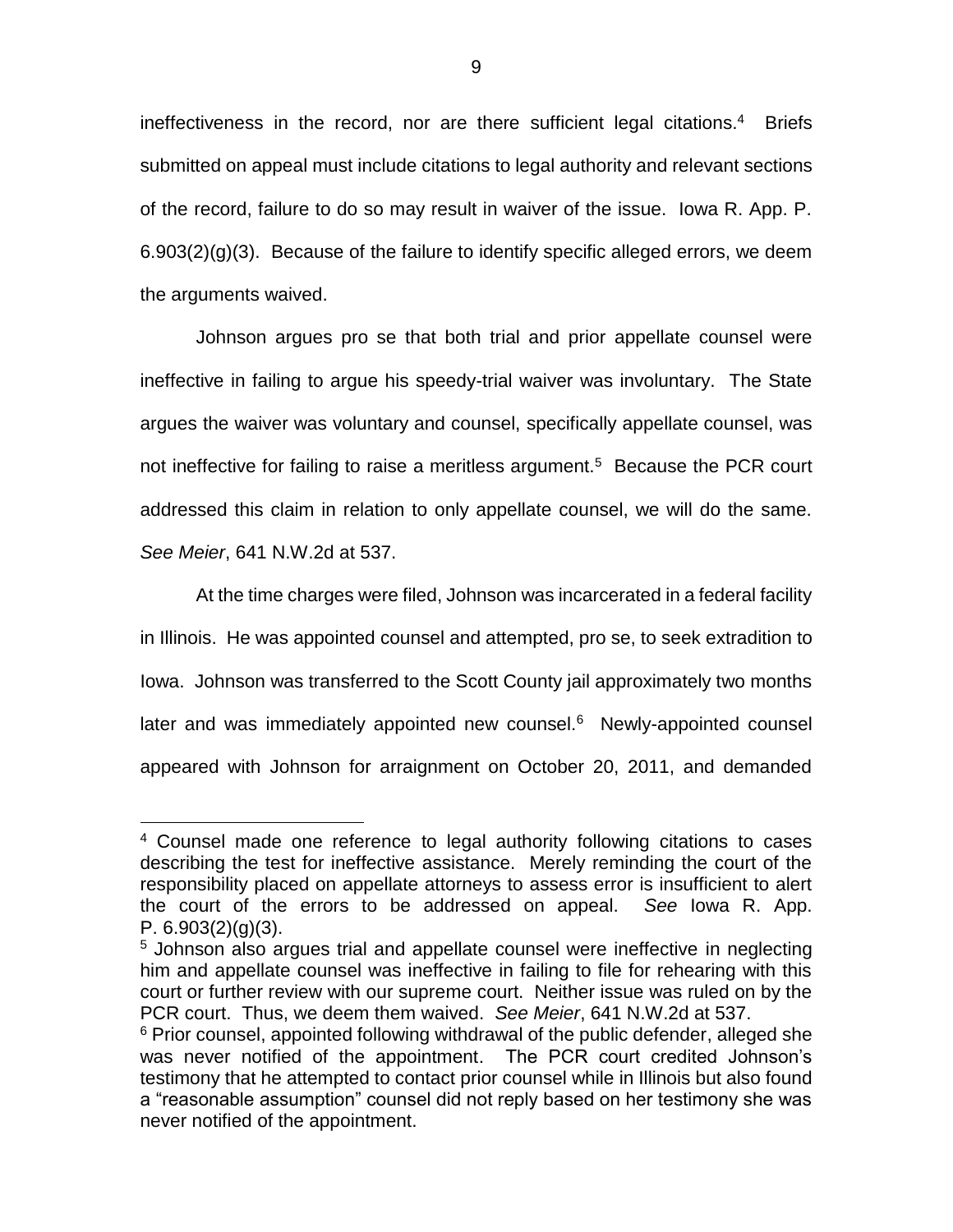ineffectiveness in the record, nor are there sufficient legal citations.<sup>4</sup> Briefs submitted on appeal must include citations to legal authority and relevant sections of the record, failure to do so may result in waiver of the issue. Iowa R. App. P. 6.903(2)(g)(3). Because of the failure to identify specific alleged errors, we deem the arguments waived.

Johnson argues pro se that both trial and prior appellate counsel were ineffective in failing to argue his speedy-trial waiver was involuntary. The State argues the waiver was voluntary and counsel, specifically appellate counsel, was not ineffective for failing to raise a meritless argument.<sup>5</sup> Because the PCR court addressed this claim in relation to only appellate counsel, we will do the same. *See Meier*, 641 N.W.2d at 537.

At the time charges were filed, Johnson was incarcerated in a federal facility in Illinois. He was appointed counsel and attempted, pro se, to seek extradition to Iowa. Johnson was transferred to the Scott County jail approximately two months later and was immediately appointed new counsel.<sup>6</sup> Newly-appointed counsel appeared with Johnson for arraignment on October 20, 2011, and demanded

 $\overline{a}$ 

<sup>&</sup>lt;sup>4</sup> Counsel made one reference to legal authority following citations to cases describing the test for ineffective assistance. Merely reminding the court of the responsibility placed on appellate attorneys to assess error is insufficient to alert the court of the errors to be addressed on appeal. *See* Iowa R. App. P.  $6.903(2)(q)(3)$ .

<sup>&</sup>lt;sup>5</sup> Johnson also argues trial and appellate counsel were ineffective in neglecting him and appellate counsel was ineffective in failing to file for rehearing with this court or further review with our supreme court. Neither issue was ruled on by the PCR court. Thus, we deem them waived. *See Meier*, 641 N.W.2d at 537.

<sup>&</sup>lt;sup>6</sup> Prior counsel, appointed following withdrawal of the public defender, alleged she was never notified of the appointment. The PCR court credited Johnson's testimony that he attempted to contact prior counsel while in Illinois but also found a "reasonable assumption" counsel did not reply based on her testimony she was never notified of the appointment.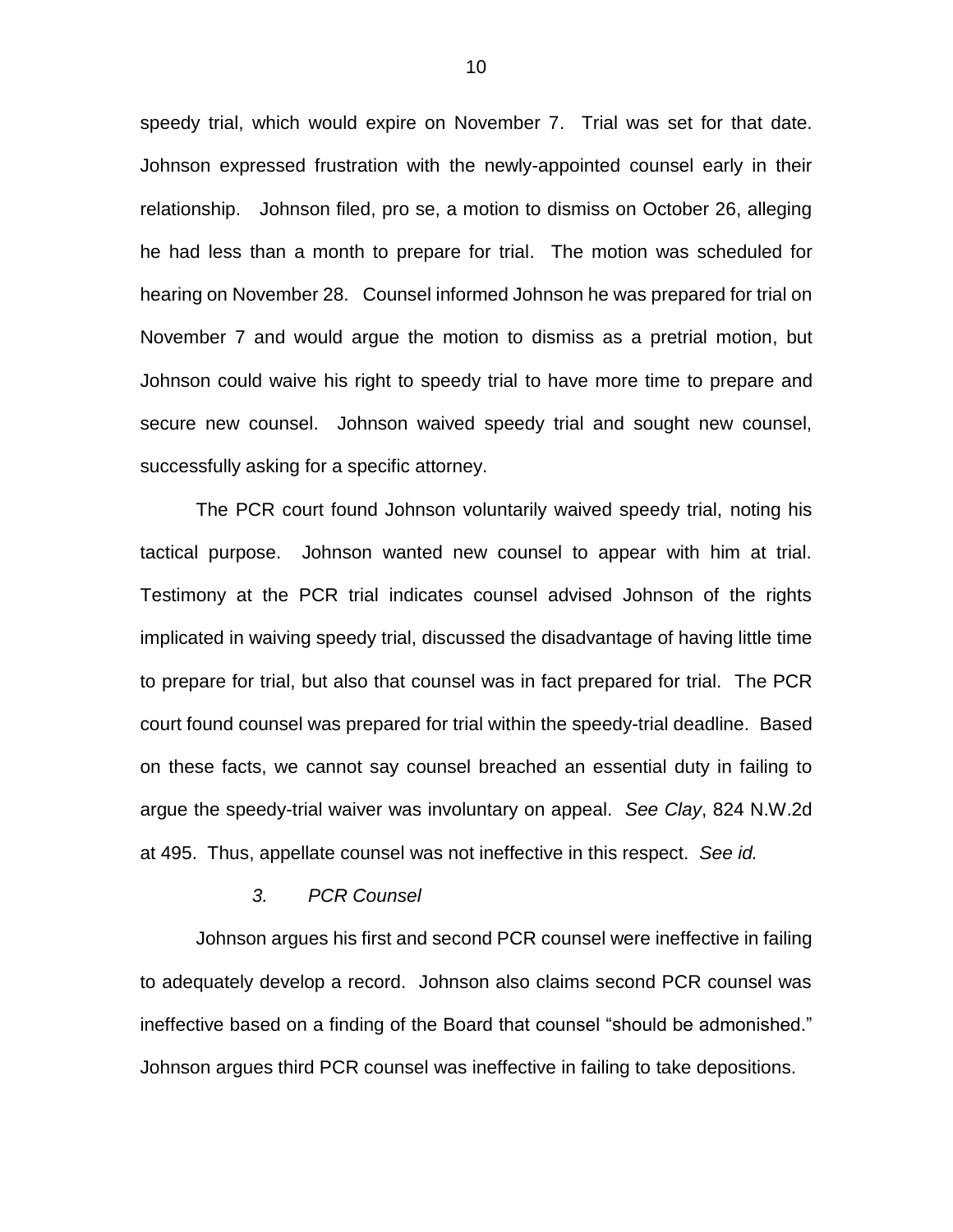speedy trial, which would expire on November 7. Trial was set for that date. Johnson expressed frustration with the newly-appointed counsel early in their relationship. Johnson filed, pro se, a motion to dismiss on October 26, alleging he had less than a month to prepare for trial. The motion was scheduled for hearing on November 28. Counsel informed Johnson he was prepared for trial on November 7 and would argue the motion to dismiss as a pretrial motion, but Johnson could waive his right to speedy trial to have more time to prepare and secure new counsel. Johnson waived speedy trial and sought new counsel, successfully asking for a specific attorney.

The PCR court found Johnson voluntarily waived speedy trial, noting his tactical purpose. Johnson wanted new counsel to appear with him at trial. Testimony at the PCR trial indicates counsel advised Johnson of the rights implicated in waiving speedy trial, discussed the disadvantage of having little time to prepare for trial, but also that counsel was in fact prepared for trial. The PCR court found counsel was prepared for trial within the speedy-trial deadline. Based on these facts, we cannot say counsel breached an essential duty in failing to argue the speedy-trial waiver was involuntary on appeal. *See Clay*, 824 N.W.2d at 495. Thus, appellate counsel was not ineffective in this respect. *See id.*

## *3. PCR Counsel*

Johnson argues his first and second PCR counsel were ineffective in failing to adequately develop a record. Johnson also claims second PCR counsel was ineffective based on a finding of the Board that counsel "should be admonished." Johnson argues third PCR counsel was ineffective in failing to take depositions.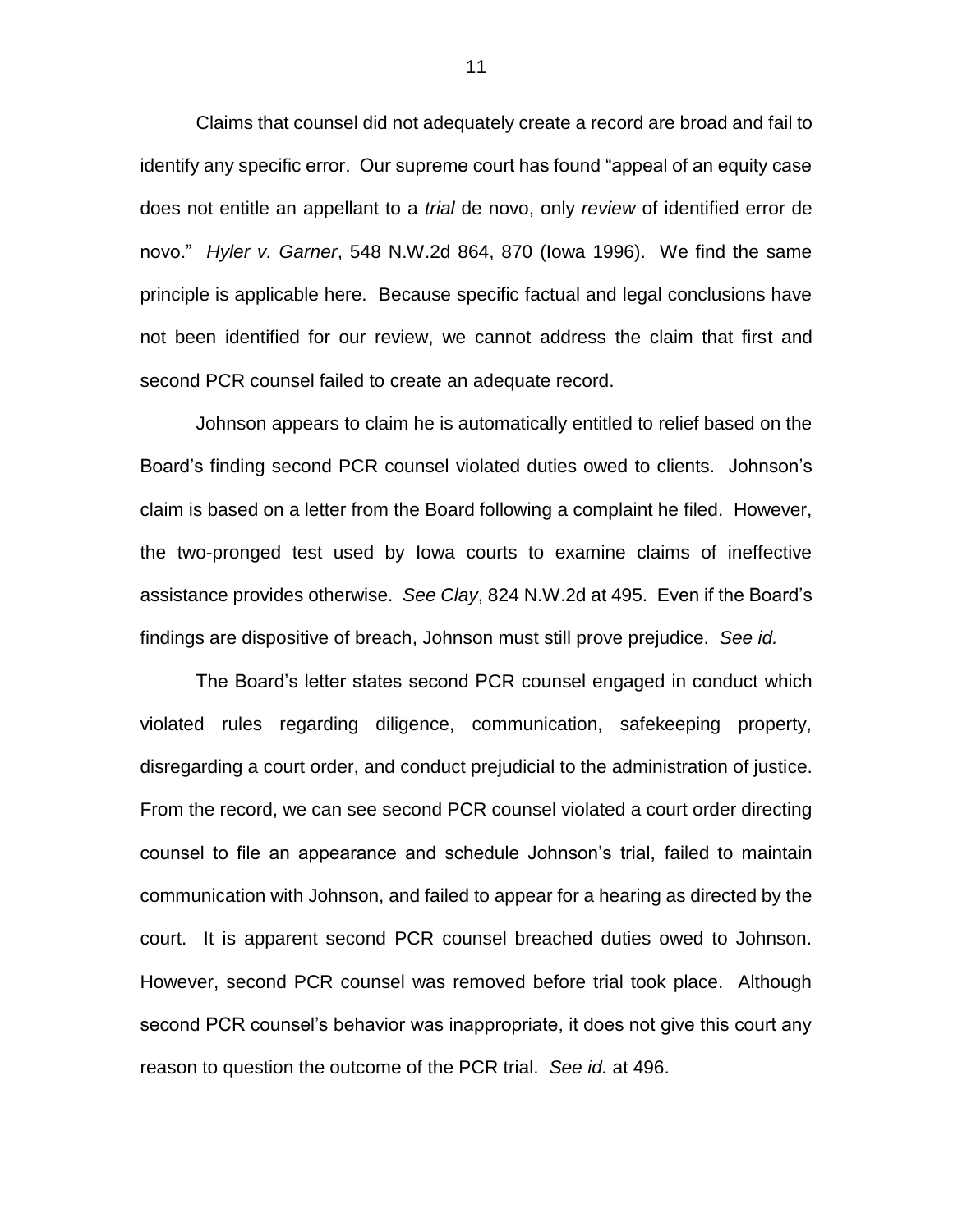Claims that counsel did not adequately create a record are broad and fail to identify any specific error. Our supreme court has found "appeal of an equity case does not entitle an appellant to a *trial* de novo, only *review* of identified error de novo." *Hyler v. Garner*, 548 N.W.2d 864, 870 (Iowa 1996). We find the same principle is applicable here. Because specific factual and legal conclusions have not been identified for our review, we cannot address the claim that first and second PCR counsel failed to create an adequate record.

Johnson appears to claim he is automatically entitled to relief based on the Board's finding second PCR counsel violated duties owed to clients. Johnson's claim is based on a letter from the Board following a complaint he filed. However, the two-pronged test used by Iowa courts to examine claims of ineffective assistance provides otherwise. *See Clay*, 824 N.W.2d at 495. Even if the Board's findings are dispositive of breach, Johnson must still prove prejudice. *See id.*

The Board's letter states second PCR counsel engaged in conduct which violated rules regarding diligence, communication, safekeeping property, disregarding a court order, and conduct prejudicial to the administration of justice. From the record, we can see second PCR counsel violated a court order directing counsel to file an appearance and schedule Johnson's trial, failed to maintain communication with Johnson, and failed to appear for a hearing as directed by the court. It is apparent second PCR counsel breached duties owed to Johnson. However, second PCR counsel was removed before trial took place. Although second PCR counsel's behavior was inappropriate, it does not give this court any reason to question the outcome of the PCR trial. *See id.* at 496.

11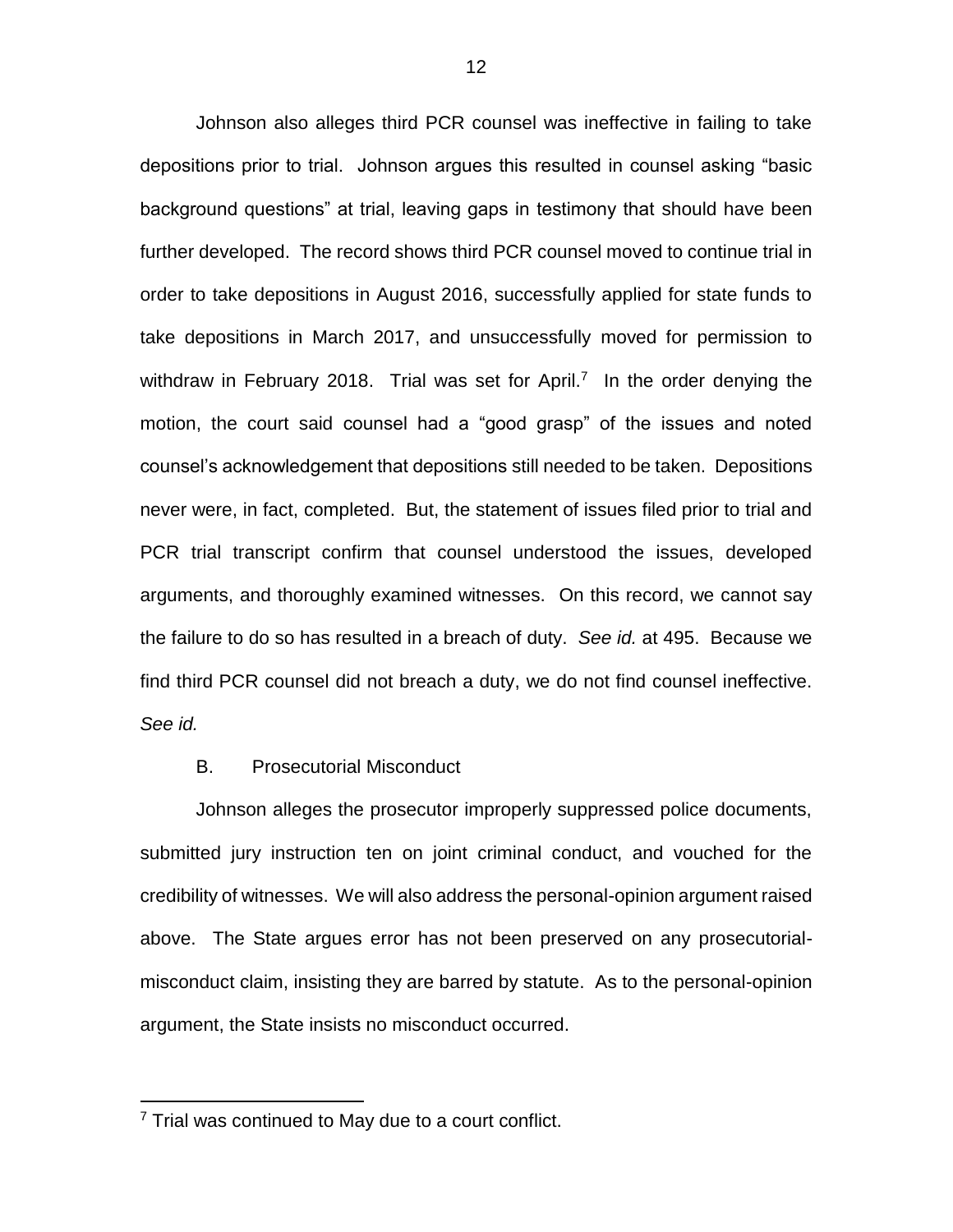Johnson also alleges third PCR counsel was ineffective in failing to take depositions prior to trial. Johnson argues this resulted in counsel asking "basic background questions" at trial, leaving gaps in testimony that should have been further developed. The record shows third PCR counsel moved to continue trial in order to take depositions in August 2016, successfully applied for state funds to take depositions in March 2017, and unsuccessfully moved for permission to withdraw in February 2018. Trial was set for April.<sup>7</sup> In the order denying the motion, the court said counsel had a "good grasp" of the issues and noted counsel's acknowledgement that depositions still needed to be taken. Depositions never were, in fact, completed. But, the statement of issues filed prior to trial and PCR trial transcript confirm that counsel understood the issues, developed arguments, and thoroughly examined witnesses. On this record, we cannot say the failure to do so has resulted in a breach of duty. *See id.* at 495. Because we find third PCR counsel did not breach a duty, we do not find counsel ineffective. *See id.*

#### B. Prosecutorial Misconduct

Johnson alleges the prosecutor improperly suppressed police documents, submitted jury instruction ten on joint criminal conduct, and vouched for the credibility of witnesses. We will also address the personal-opinion argument raised above. The State argues error has not been preserved on any prosecutorialmisconduct claim, insisting they are barred by statute. As to the personal-opinion argument, the State insists no misconduct occurred.

 $\overline{a}$ 

<sup>&</sup>lt;sup>7</sup> Trial was continued to May due to a court conflict.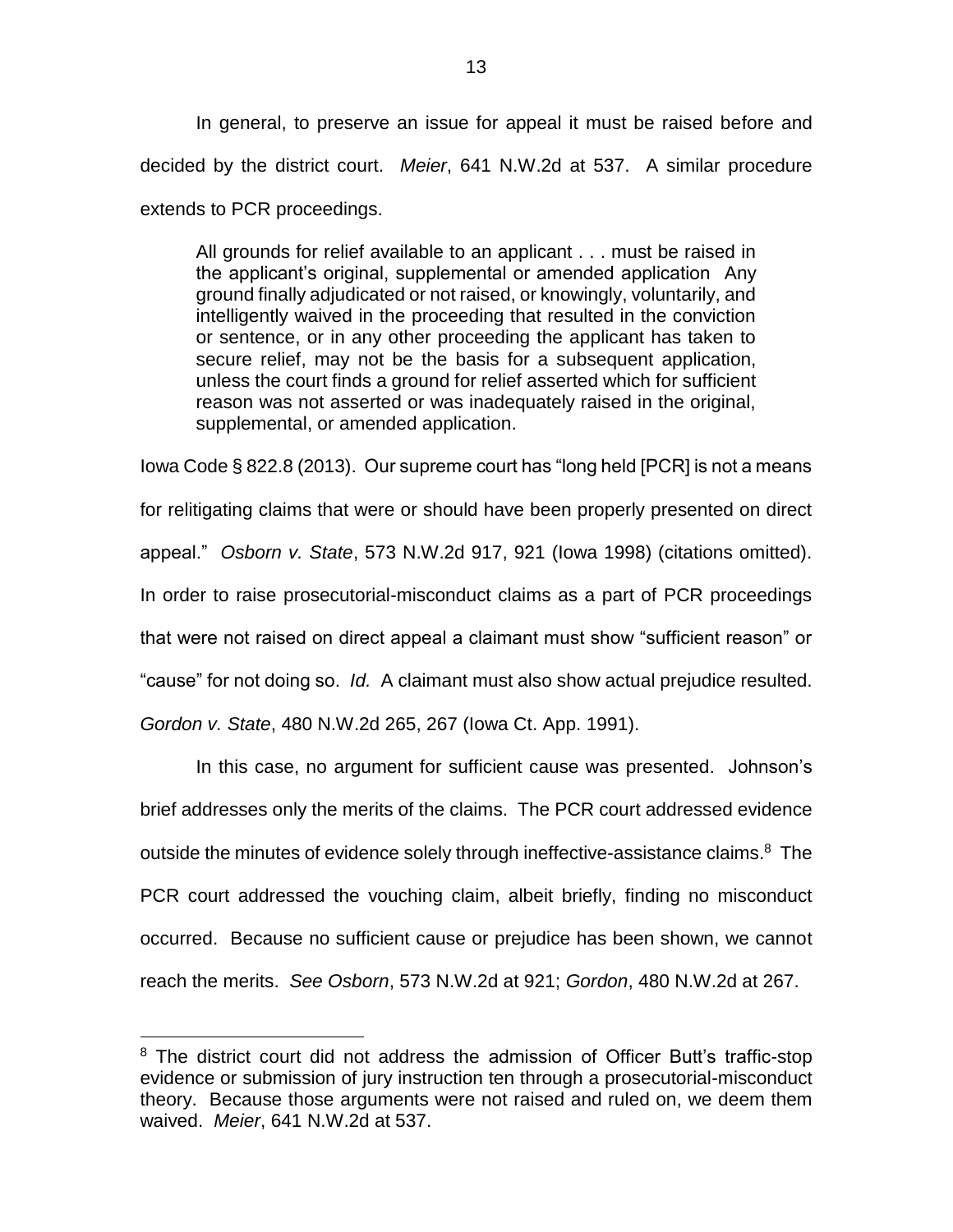In general, to preserve an issue for appeal it must be raised before and decided by the district court. *Meier*, 641 N.W.2d at 537. A similar procedure extends to PCR proceedings.

All grounds for relief available to an applicant . . . must be raised in the applicant's original, supplemental or amended application Any ground finally adjudicated or not raised, or knowingly, voluntarily, and intelligently waived in the proceeding that resulted in the conviction or sentence, or in any other proceeding the applicant has taken to secure relief, may not be the basis for a subsequent application, unless the court finds a ground for relief asserted which for sufficient reason was not asserted or was inadequately raised in the original, supplemental, or amended application.

Iowa Code § 822.8 (2013). Our supreme court has "long held [PCR] is not a means for relitigating claims that were or should have been properly presented on direct appeal." *Osborn v. State*, 573 N.W.2d 917, 921 (Iowa 1998) (citations omitted). In order to raise prosecutorial-misconduct claims as a part of PCR proceedings that were not raised on direct appeal a claimant must show "sufficient reason" or "cause" for not doing so. *Id.* A claimant must also show actual prejudice resulted.

*Gordon v. State*, 480 N.W.2d 265, 267 (Iowa Ct. App. 1991).

 $\overline{a}$ 

In this case, no argument for sufficient cause was presented. Johnson's brief addresses only the merits of the claims. The PCR court addressed evidence outside the minutes of evidence solely through ineffective-assistance claims.<sup>8</sup> The PCR court addressed the vouching claim, albeit briefly, finding no misconduct occurred. Because no sufficient cause or prejudice has been shown, we cannot reach the merits. *See Osborn*, 573 N.W.2d at 921; *Gordon*, 480 N.W.2d at 267.

<sup>&</sup>lt;sup>8</sup> The district court did not address the admission of Officer Butt's traffic-stop evidence or submission of jury instruction ten through a prosecutorial-misconduct theory. Because those arguments were not raised and ruled on, we deem them waived. *Meier*, 641 N.W.2d at 537.